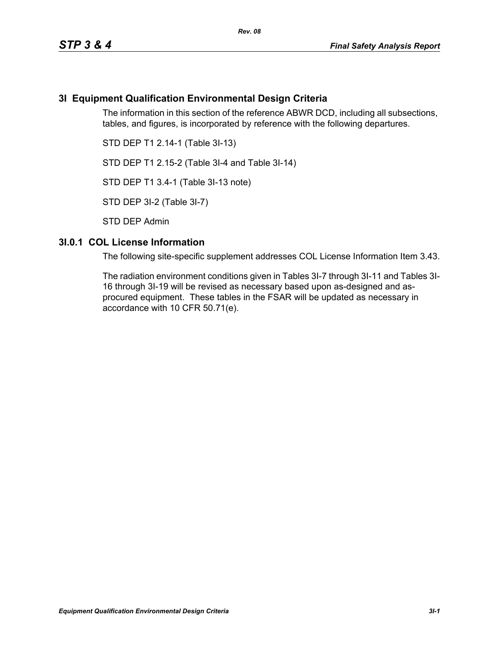# **3I Equipment Qualification Environmental Design Criteria**

The information in this section of the reference ABWR DCD, including all subsections, tables, and figures, is incorporated by reference with the following departures.

STD DEP T1 2.14-1 (Table 3I-13)

STD DEP T1 2.15-2 (Table 3I-4 and Table 3I-14)

STD DEP T1 3.4-1 (Table 3I-13 note)

STD DEP 3I-2 (Table 3I-7)

STD DEP Admin

### **3I.0.1 COL License Information**

The following site-specific supplement addresses COL License Information Item 3.43.

The radiation environment conditions given in Tables 3I-7 through 3I-11 and Tables 3I-16 through 3I-19 will be revised as necessary based upon as-designed and asprocured equipment. These tables in the FSAR will be updated as necessary in accordance with 10 CFR 50.71(e).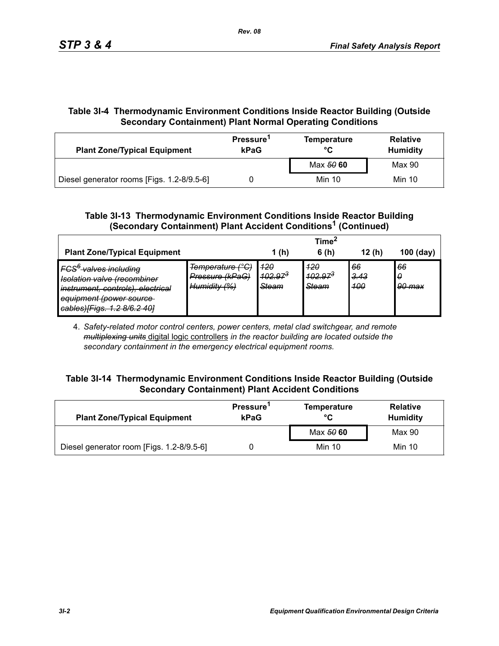# **Table 3I-4 Thermodynamic Environment Conditions Inside Reactor Building (Outside Secondary Containment) Plant Normal Operating Conditions**

| <b>Plant Zone/Typical Equipment</b>        | Pressure <sup>1</sup><br>kPaG | <b>Temperature</b><br>°C | <b>Relative</b><br><b>Humidity</b> |  |
|--------------------------------------------|-------------------------------|--------------------------|------------------------------------|--|
|                                            |                               | Max 50 60                | Max 90                             |  |
| Diesel generator rooms [Figs. 1.2-8/9.5-6] |                               | Min 10                   | Min 10                             |  |

## **Table 3I-13 Thermodynamic Environment Conditions Inside Reactor Building (Secondary Containment) Plant Accident Conditions1 (Continued)**

|                                                                                                                                                                                                           |                                                                                          |                                             | Time <sup>*</sup>            |                          |                   |
|-----------------------------------------------------------------------------------------------------------------------------------------------------------------------------------------------------------|------------------------------------------------------------------------------------------|---------------------------------------------|------------------------------|--------------------------|-------------------|
| <b>Plant Zone/Typical Equipment</b>                                                                                                                                                                       |                                                                                          | 1(h)                                        | 6(h)                         | 12(h)                    | $100$ (day)       |
| IFCS <sup>6</sup> valves including<br>Jeolation valve (recombiner<br><del>isulation valve irecommune</del><br>instrument, controls), electrical<br>equipment (power source<br>cables)[Figs. 1.2 8/6.2 40] | Temperature (°C)<br>Pressure (kPaG)<br><u> Humidity (%)</u><br><del>iummuitty 1707</del> | <u> 120</u><br>$102.97^{3}$<br><b>Steam</b> | 420<br>$402.97^{3}$<br>Steam | 66<br><u>3.43</u><br>400 | 66<br>0<br>90 max |

4. *Safety-related motor control centers, power centers, metal clad switchgear, and remote multiplexing units* digital logic controllers *in the reactor building are located outside the secondary containment in the emergency electrical equipment rooms.*

### **Table 3I-14 Thermodynamic Environment Conditions Inside Reactor Building (Outside Secondary Containment) Plant Accident Conditions**

| <b>Plant Zone/Typical Equipment</b>       | Pressure <sup>1</sup><br>kPaG | <b>Temperature</b><br>°C | <b>Relative</b><br><b>Humidity</b> |  |
|-------------------------------------------|-------------------------------|--------------------------|------------------------------------|--|
|                                           |                               | Max 50 60                | Max 90                             |  |
| Diesel generator room [Figs. 1.2-8/9.5-6] |                               | Min 10                   | Min 10                             |  |